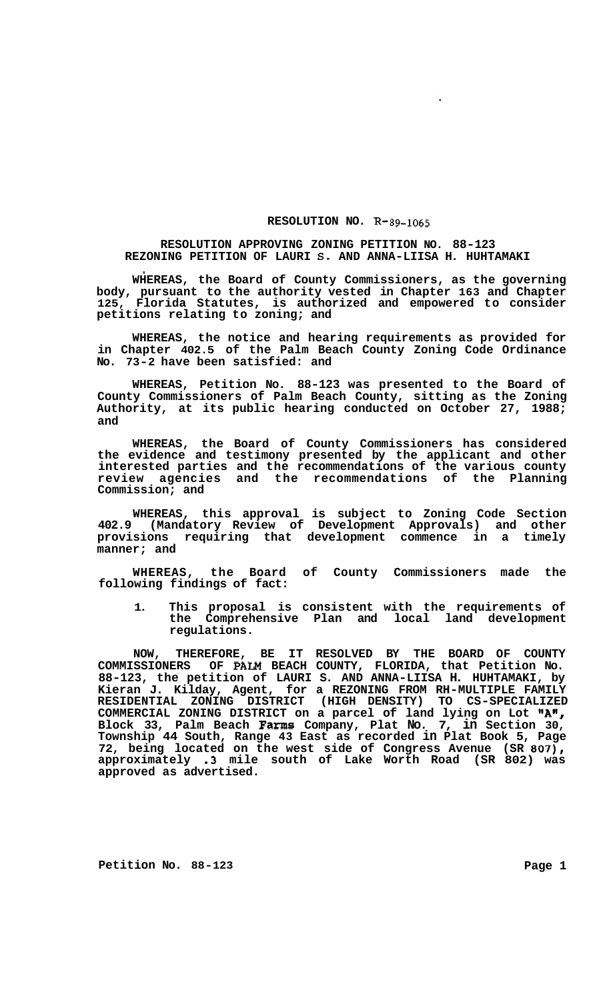## **RESOLUTION NO. R-89-1065**

## **RESOLUTION APPROVING ZONING PETITION NO. 88-123 REZONING PETITION OF LAURI S. AND ANNA-LIISA H. HUHTAMAKI**  .<br>,

**WHEREAS, the Board of County Commissioners, as the governing body, pursuant to the authority vested in Chapter 163 and Chapter 125, Florida Statutes, is authorized and empowered to consider petitions relating to zoning; and** 

**WHEREAS, the notice and hearing requirements as provided for in Chapter 402.5 of the Palm Beach County Zoning Code Ordinance No. 73-2 have been satisfied: and** 

**WHEREAS, Petition No. 88-123 was presented to the Board of County Commissioners of Palm Beach County, sitting as the Zoning Authority, at its public hearing conducted on October 27, 1988; and** 

**WHEREAS, the Board of County Commissioners has considered the evidence and testimony presented by the applicant and other interested parties and the recommendations of the various county review agencies and the recommendations of the Planning Commission; and** 

**WHEREAS, this approval is subject to Zoning Code Section 402.9 (Mandatory Review of Development Approvals) and other provisions requiring that development commence in a timely manner; and** 

**WHEREAS, the Board of County Commissioners made the following findings of fact:** 

**1. This proposal is consistent with the requirements of the Comprehensive Plan and local land development regulations.** 

**NOW, THEREFORE, BE IT RESOLVED BY THE BOARD OF COUNTY COMMISSIONERS OF PALM BEACH COUNTY, FLORIDA, that Petition No. 88-123, the petition of LAURI S. AND ANNA-LIISA H. HUHTAMAKI, by Kieran J. Kilday, Agent, for a REZONING FROM RH-MULTIPLE FAMILY RESIDENTIAL ZONING DISTRICT (HIGH DENSITY) TO CS-SPECIALIZED COMMERCIAL ZONING DISTRICT on a parcel of land lying on Lot "AN Block 33, Palm Beach Farms Company, Plat No. 7, in Section 30,**  *I*  **Township 44 South, Range 43 East as recorded in Plat Book 5, Page 72, being located on the west side of Congress Avenue (SR 807), approximately .3 mile south of Lake Worth Road (SR 802) was approved as advertised.** 

**Petition No.** 88-123 **Page 1**